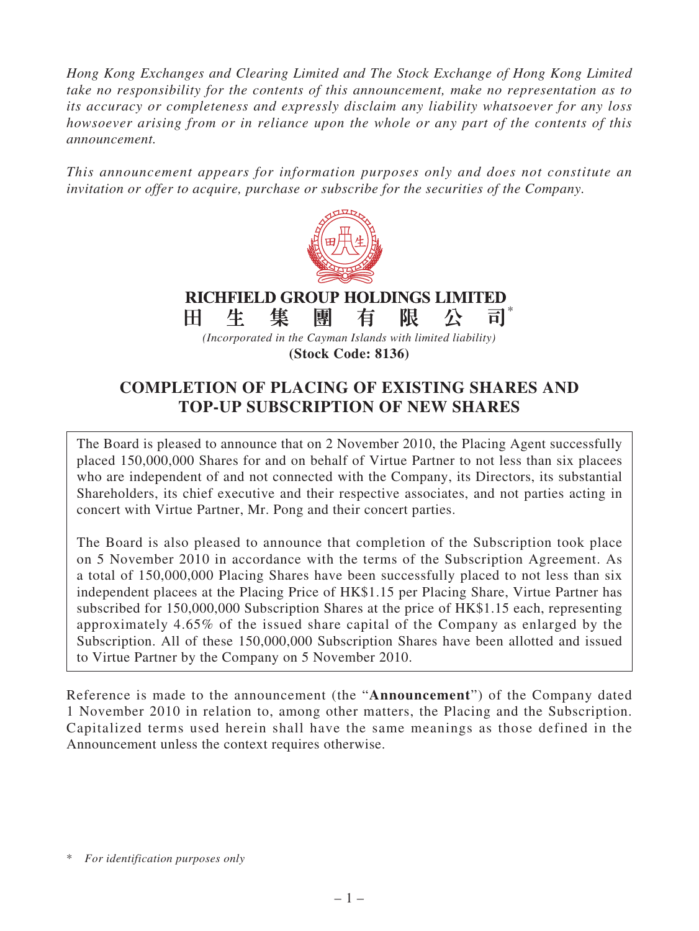*Hong Kong Exchanges and Clearing Limited and The Stock Exchange of Hong Kong Limited take no responsibility for the contents of this announcement, make no representation as to its accuracy or completeness and expressly disclaim any liability whatsoever for any loss howsoever arising from or in reliance upon the whole or any part of the contents of this announcement.*

*This announcement appears for information purposes only and does not constitute an invitation or offer to acquire, purchase or subscribe for the securities of the Company.*



#### **RICHFIELD GROUP HOLDINGS LIMITED** \* 集 團 限 H. 生 有 公 司

*(Incorporated in the Cayman Islands with limited liability)* **(Stock Code: 8136)**

**COMPLETION OF PLACING OF EXISTING SHARES AND TOP-UP SUBSCRIPTION OF NEW SHARES**

The Board is pleased to announce that on 2 November 2010, the Placing Agent successfully placed 150,000,000 Shares for and on behalf of Virtue Partner to not less than six placees who are independent of and not connected with the Company, its Directors, its substantial Shareholders, its chief executive and their respective associates, and not parties acting in concert with Virtue Partner, Mr. Pong and their concert parties.

The Board is also pleased to announce that completion of the Subscription took place on 5 November 2010 in accordance with the terms of the Subscription Agreement. As a total of 150,000,000 Placing Shares have been successfully placed to not less than six independent placees at the Placing Price of HK\$1.15 per Placing Share, Virtue Partner has subscribed for 150,000,000 Subscription Shares at the price of HK\$1.15 each, representing approximately 4.65% of the issued share capital of the Company as enlarged by the Subscription. All of these 150,000,000 Subscription Shares have been allotted and issued to Virtue Partner by the Company on 5 November 2010.

Reference is made to the announcement (the "**Announcement**") of the Company dated 1 November 2010 in relation to, among other matters, the Placing and the Subscription. Capitalized terms used herein shall have the same meanings as those defined in the Announcement unless the context requires otherwise.

<sup>\*</sup> *For identification purposes only*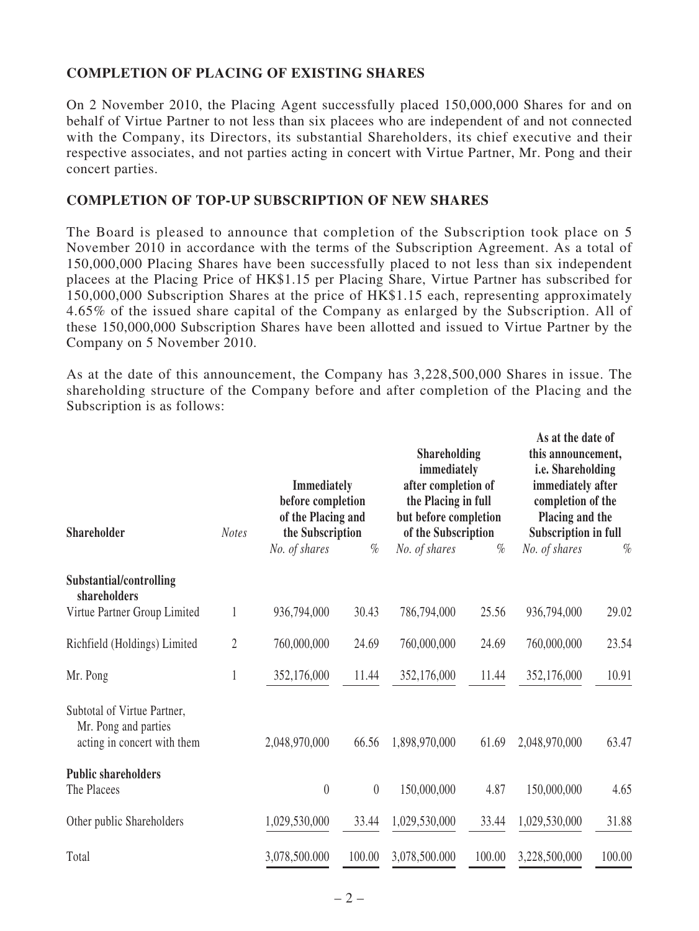# **COMPLETION OF PLACING OF EXISTING SHARES**

On 2 November 2010, the Placing Agent successfully placed 150,000,000 Shares for and on behalf of Virtue Partner to not less than six placees who are independent of and not connected with the Company, its Directors, its substantial Shareholders, its chief executive and their respective associates, and not parties acting in concert with Virtue Partner, Mr. Pong and their concert parties.

### **COMPLETION OF TOP-UP SUBSCRIPTION OF NEW SHARES**

The Board is pleased to announce that completion of the Subscription took place on 5 November 2010 in accordance with the terms of the Subscription Agreement. As a total of 150,000,000 Placing Shares have been successfully placed to not less than six independent placees at the Placing Price of HK\$1.15 per Placing Share, Virtue Partner has subscribed for 150,000,000 Subscription Shares at the price of HK\$1.15 each, representing approximately 4.65% of the issued share capital of the Company as enlarged by the Subscription. All of these 150,000,000 Subscription Shares have been allotted and issued to Virtue Partner by the Company on 5 November 2010.

As at the date of this announcement, the Company has 3,228,500,000 Shares in issue. The shareholding structure of the Company before and after completion of the Placing and the Subscription is as follows:

| <b>Shareholder</b>                                                                 | <b>Notes</b>     | <b>Immediately</b><br>before completion<br>of the Placing and<br>the Subscription |          | <b>Shareholding</b><br>immediately<br>after completion of<br>the Placing in full<br>but before completion<br>of the Subscription |        | As at the date of<br>this announcement,<br>i.e. Shareholding<br>immediately after<br>completion of the<br>Placing and the<br><b>Subscription in full</b> |        |
|------------------------------------------------------------------------------------|------------------|-----------------------------------------------------------------------------------|----------|----------------------------------------------------------------------------------------------------------------------------------|--------|----------------------------------------------------------------------------------------------------------------------------------------------------------|--------|
|                                                                                    |                  | No. of shares                                                                     | $\%$     | No. of shares                                                                                                                    | $\%$   | No. of shares                                                                                                                                            | $\%$   |
| Substantial/controlling<br>shareholders                                            |                  |                                                                                   |          |                                                                                                                                  |        |                                                                                                                                                          |        |
| Virtue Partner Group Limited                                                       | $\mathbf{1}$     | 936,794,000                                                                       | 30.43    | 786,794,000                                                                                                                      | 25.56  | 936,794,000                                                                                                                                              | 29.02  |
| Richfield (Holdings) Limited                                                       | $\boldsymbol{2}$ | 760,000,000                                                                       | 24.69    | 760,000,000                                                                                                                      | 24.69  | 760,000,000                                                                                                                                              | 23.54  |
| Mr. Pong                                                                           | 1                | 352,176,000                                                                       | 11.44    | 352,176,000                                                                                                                      | 11.44  | 352,176,000                                                                                                                                              | 10.91  |
| Subtotal of Virtue Partner,<br>Mr. Pong and parties<br>acting in concert with them |                  | 2,048,970,000                                                                     | 66.56    | 1,898,970,000                                                                                                                    | 61.69  | 2,048,970,000                                                                                                                                            | 63.47  |
| <b>Public shareholders</b><br>The Placees                                          |                  | $\theta$                                                                          | $\theta$ | 150,000,000                                                                                                                      | 4.87   | 150,000,000                                                                                                                                              | 4.65   |
| Other public Shareholders                                                          |                  | 1,029,530,000                                                                     | 33.44    | 1,029,530,000                                                                                                                    | 33.44  | 1,029,530,000                                                                                                                                            | 31.88  |
| Total                                                                              |                  | 3,078,500.000                                                                     | 100.00   | 3,078,500.000                                                                                                                    | 100.00 | 3,228,500,000                                                                                                                                            | 100.00 |